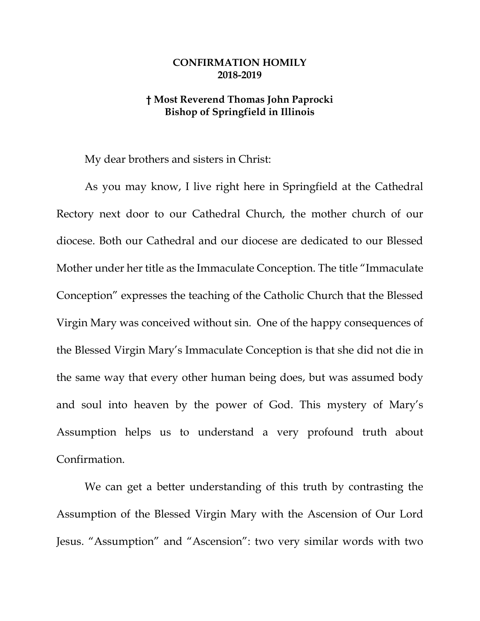## **CONFIRMATION HOMILY 2018-2019**

## **† Most Reverend Thomas John Paprocki Bishop of Springfield in Illinois**

My dear brothers and sisters in Christ:

As you may know, I live right here in Springfield at the Cathedral Rectory next door to our Cathedral Church, the mother church of our diocese. Both our Cathedral and our diocese are dedicated to our Blessed Mother under her title as the Immaculate Conception. The title "Immaculate Conception" expresses the teaching of the Catholic Church that the Blessed Virgin Mary was conceived without sin. One of the happy consequences of the Blessed Virgin Mary's Immaculate Conception is that she did not die in the same way that every other human being does, but was assumed body and soul into heaven by the power of God. This mystery of Mary's Assumption helps us to understand a very profound truth about Confirmation.

We can get a better understanding of this truth by contrasting the Assumption of the Blessed Virgin Mary with the Ascension of Our Lord Jesus. "Assumption" and "Ascension": two very similar words with two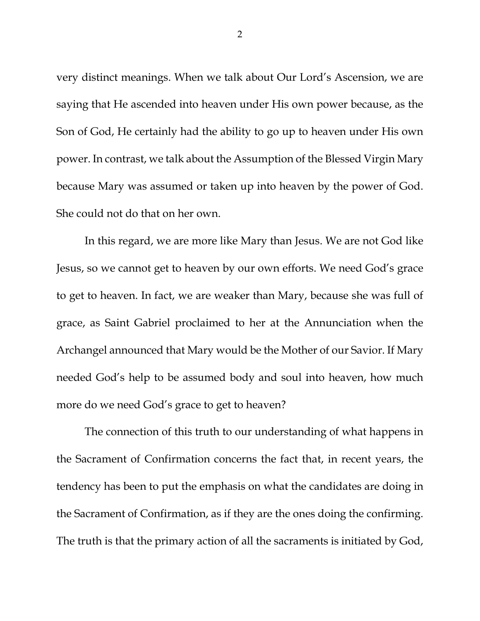very distinct meanings. When we talk about Our Lord's Ascension, we are saying that He ascended into heaven under His own power because, as the Son of God, He certainly had the ability to go up to heaven under His own power. In contrast, we talk about the Assumption of the Blessed Virgin Mary because Mary was assumed or taken up into heaven by the power of God. She could not do that on her own.

In this regard, we are more like Mary than Jesus. We are not God like Jesus, so we cannot get to heaven by our own efforts. We need God's grace to get to heaven. In fact, we are weaker than Mary, because she was full of grace, as Saint Gabriel proclaimed to her at the Annunciation when the Archangel announced that Mary would be the Mother of our Savior. If Mary needed God's help to be assumed body and soul into heaven, how much more do we need God's grace to get to heaven?

The connection of this truth to our understanding of what happens in the Sacrament of Confirmation concerns the fact that, in recent years, the tendency has been to put the emphasis on what the candidates are doing in the Sacrament of Confirmation, as if they are the ones doing the confirming. The truth is that the primary action of all the sacraments is initiated by God,

2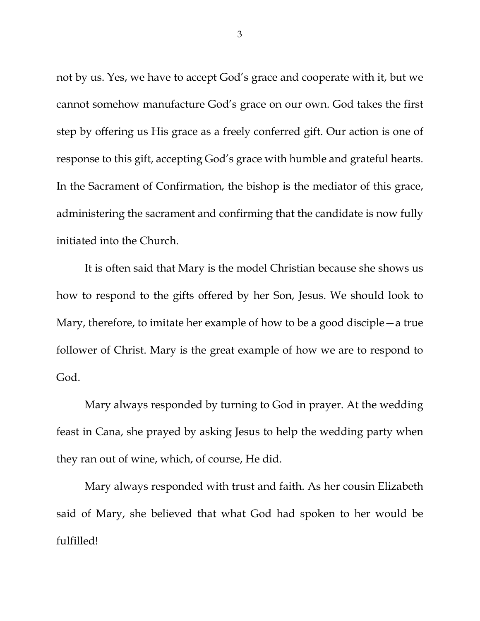not by us. Yes, we have to accept God's grace and cooperate with it, but we cannot somehow manufacture God's grace on our own. God takes the first step by offering us His grace as a freely conferred gift. Our action is one of response to this gift, accepting God's grace with humble and grateful hearts. In the Sacrament of Confirmation, the bishop is the mediator of this grace, administering the sacrament and confirming that the candidate is now fully initiated into the Church.

It is often said that Mary is the model Christian because she shows us how to respond to the gifts offered by her Son, Jesus. We should look to Mary, therefore, to imitate her example of how to be a good disciple—a true follower of Christ. Mary is the great example of how we are to respond to God.

Mary always responded by turning to God in prayer. At the wedding feast in Cana, she prayed by asking Jesus to help the wedding party when they ran out of wine, which, of course, He did.

Mary always responded with trust and faith. As her cousin Elizabeth said of Mary, she believed that what God had spoken to her would be fulfilled!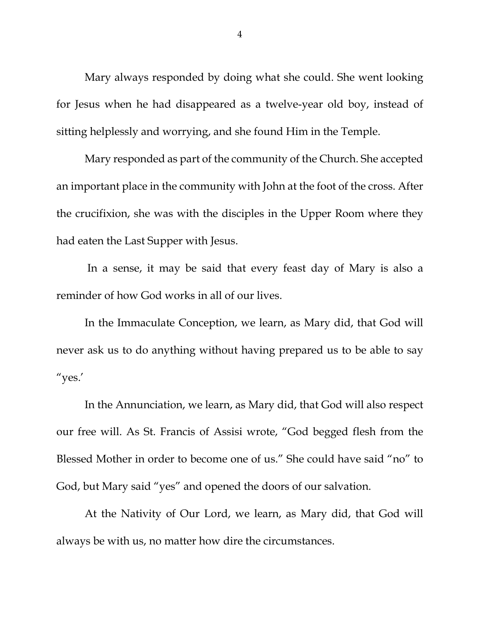Mary always responded by doing what she could. She went looking for Jesus when he had disappeared as a twelve-year old boy, instead of sitting helplessly and worrying, and she found Him in the Temple.

Mary responded as part of the community of the Church. She accepted an important place in the community with John at the foot of the cross. After the crucifixion, she was with the disciples in the Upper Room where they had eaten the Last Supper with Jesus.

In a sense, it may be said that every feast day of Mary is also a reminder of how God works in all of our lives.

In the Immaculate Conception, we learn, as Mary did, that God will never ask us to do anything without having prepared us to be able to say "yes.'

In the Annunciation, we learn, as Mary did, that God will also respect our free will. As St. Francis of Assisi wrote, "God begged flesh from the Blessed Mother in order to become one of us." She could have said "no" to God, but Mary said "yes" and opened the doors of our salvation.

At the Nativity of Our Lord, we learn, as Mary did, that God will always be with us, no matter how dire the circumstances.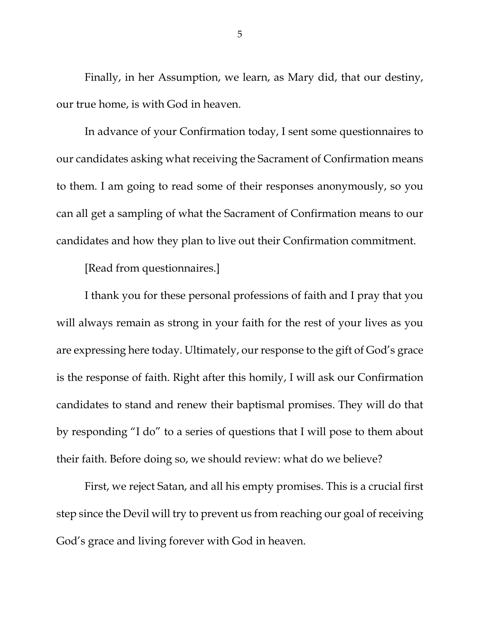Finally, in her Assumption, we learn, as Mary did, that our destiny, our true home, is with God in heaven.

In advance of your Confirmation today, I sent some questionnaires to our candidates asking what receiving the Sacrament of Confirmation means to them. I am going to read some of their responses anonymously, so you can all get a sampling of what the Sacrament of Confirmation means to our candidates and how they plan to live out their Confirmation commitment.

[Read from questionnaires.]

I thank you for these personal professions of faith and I pray that you will always remain as strong in your faith for the rest of your lives as you are expressing here today. Ultimately, our response to the gift of God's grace is the response of faith. Right after this homily, I will ask our Confirmation candidates to stand and renew their baptismal promises. They will do that by responding "I do" to a series of questions that I will pose to them about their faith. Before doing so, we should review: what do we believe?

First, we reject Satan, and all his empty promises. This is a crucial first step since the Devil will try to prevent us from reaching our goal of receiving God's grace and living forever with God in heaven.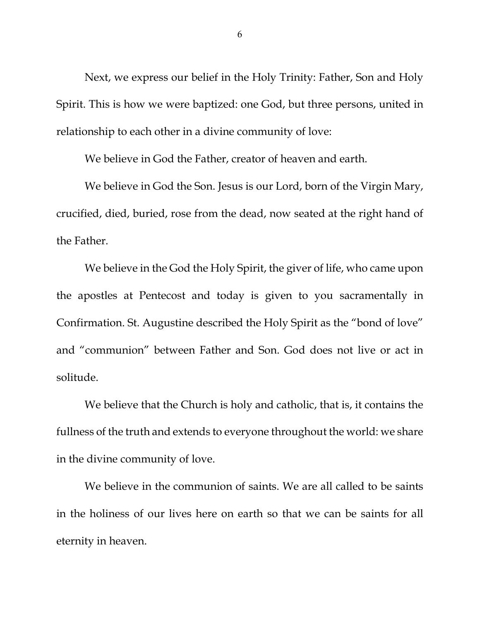Next, we express our belief in the Holy Trinity: Father, Son and Holy Spirit. This is how we were baptized: one God, but three persons, united in relationship to each other in a divine community of love:

We believe in God the Father, creator of heaven and earth.

We believe in God the Son. Jesus is our Lord, born of the Virgin Mary, crucified, died, buried, rose from the dead, now seated at the right hand of the Father.

We believe in the God the Holy Spirit, the giver of life, who came upon the apostles at Pentecost and today is given to you sacramentally in Confirmation. St. Augustine described the Holy Spirit as the "bond of love" and "communion" between Father and Son. God does not live or act in solitude.

We believe that the Church is holy and catholic, that is, it contains the fullness of the truth and extends to everyone throughout the world: we share in the divine community of love.

We believe in the communion of saints. We are all called to be saints in the holiness of our lives here on earth so that we can be saints for all eternity in heaven.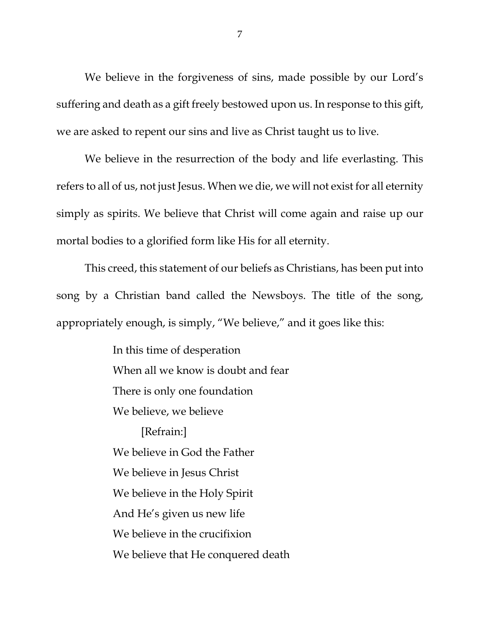We believe in the forgiveness of sins, made possible by our Lord's suffering and death as a gift freely bestowed upon us. In response to this gift, we are asked to repent our sins and live as Christ taught us to live.

We believe in the resurrection of the body and life everlasting. This refers to all of us, not just Jesus. When we die, we will not exist for all eternity simply as spirits. We believe that Christ will come again and raise up our mortal bodies to a glorified form like His for all eternity.

This creed, this statement of our beliefs as Christians, has been put into song by a Christian band called the Newsboys. The title of the song, appropriately enough, is simply, "We believe," and it goes like this:

> In this time of desperation When all we know is doubt and fear There is only one foundation We believe, we believe

[Refrain:] We believe in God the Father We believe in Jesus Christ We believe in the Holy Spirit And He's given us new life We believe in the crucifixion We believe that He conquered death